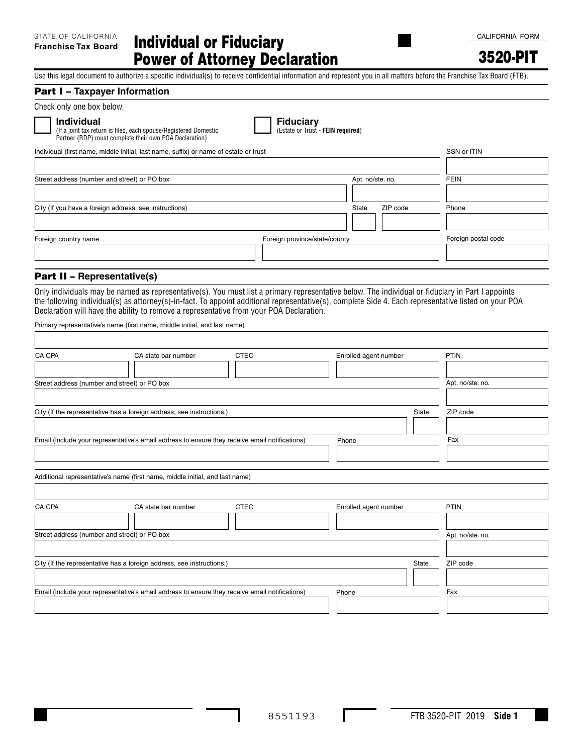3520-PIT

Use this legal document to authorize a specific individual(s) to receive confidential information and represent you in all matters before the Franchise Tax Board (FTB).

#### Part I – **Taxpayer Information**

**Individual** 

**Individual**<br>(If a joint tax return is filed, each spouse/Registered Domestic **Comes Comes Comes Comes - FEIN required**) Partner (RDP) must complete their own POA Declaration)

| Individual (first name, middle initial, last name, suffix) or name of estate or trust |                               |                  |          | SSN or ITIN         |
|---------------------------------------------------------------------------------------|-------------------------------|------------------|----------|---------------------|
|                                                                                       |                               |                  |          |                     |
| Street address (number and street) or PO box                                          |                               | Apt. no/ste. no. |          | <b>FEIN</b>         |
|                                                                                       |                               |                  |          |                     |
| City (If you have a foreign address, see instructions)                                |                               | State            | ZIP code | Phone               |
|                                                                                       |                               |                  |          |                     |
| Foreign country name                                                                  | Foreign province/state/county |                  |          | Foreign postal code |
|                                                                                       |                               |                  |          |                     |

# Part II – **Representative(s)**

Only individuals may be named as representative(s). You must list a primary representative below. The individual or fiduciary in Part I appoints the following individual(s) as attorney(s)-in-fact. To appoint additional representative(s), complete Side 4. Each representative listed on your POA Declaration will have the ability to remove a representative from your POA Declaration.

Primary representative's name (first name, middle initial, and last name)

| CA CPA | CA state bar number                                                                            | <b>CTEC</b> | Enrolled agent number | PTIN             |
|--------|------------------------------------------------------------------------------------------------|-------------|-----------------------|------------------|
|        |                                                                                                |             |                       |                  |
|        | Street address (number and street) or PO box                                                   |             |                       | Apt. no/ste. no. |
|        | City (If the representative has a foreign address, see instructions.)                          |             | <b>State</b>          | ZIP code         |
|        | Email (include your representative's email address to ensure they receive email notifications) |             | Phone                 | Fax              |
|        | Additional representative's name (first name, middle initial, and last name)                   |             |                       |                  |
| CA CPA | CA state bar number                                                                            | <b>CTEC</b> | Enrolled agent number | PTIN             |
|        | Street address (number and street) or PO box                                                   |             |                       | Apt. no/ste. no. |
|        | City (If the representative has a foreign address, see instructions.)                          |             | State                 | ZIP code         |
|        | Email (include your representative's email address to ensure they receive email notifications) |             | Phone                 | Fax              |
|        |                                                                                                |             |                       |                  |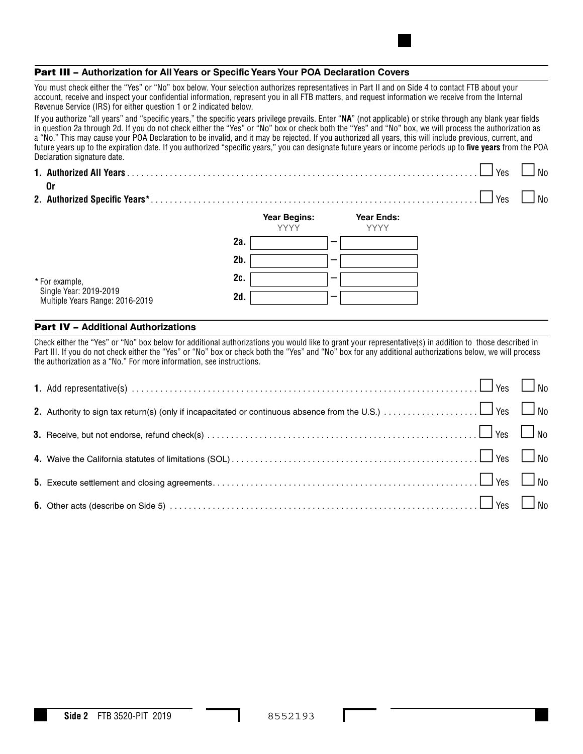## Part III – **Authorization for All Years or Specific Years Your POA Declaration Covers**

You must check either the "Yes" or "No" box below. Your selection authorizes representatives in Part II and on Side 4 to contact FTB about your account, receive and inspect your confidential information, represent you in all FTB matters, and request information we receive from the Internal Revenue Service (IRS) for either question 1 or 2 indicated below.

If you authorize "all years" and "specific years," the specific years privilege prevails. Enter "**NA**" (not applicable) or strike through any blank year fields in question 2a through 2d. If you do not check either the "Yes" or "No" box or check both the "Yes" and "No" box, we will process the authorization as a "No." This may cause your POA Declaration to be invalid, and it may be rejected. If you authorized all years, this will include previous, current, and future years up to the expiration date. If you authorized "specific years," you can designate future years or income periods up to **five years** from the POA Declaration signature date.

| 0r                                                        |        |                                    |                                  | Yes | No |
|-----------------------------------------------------------|--------|------------------------------------|----------------------------------|-----|----|
|                                                           |        |                                    |                                  | Yes | N٥ |
|                                                           |        | <b>Year Begins:</b><br><b>YYYY</b> | <b>Year Ends:</b><br><b>YYYY</b> |     |    |
|                                                           | 2a.    |                                    |                                  |     |    |
|                                                           | $2b$ . |                                    |                                  |     |    |
| * For example,                                            | 2c.    | ---                                |                                  |     |    |
| Single Year: 2019-2019<br>Multiple Years Range: 2016-2019 | 2d.    | _                                  |                                  |     |    |

## Part IV – **Additional Authorizations**

Check either the "Yes" or "No" box below for additional authorizations you would like to grant your representative(s) in addition to those described in Part III. If you do not check either the "Yes" or "No" box or check both the "Yes" and "No" box for any additional authorizations below, we will process the authorization as a "No." For more information, see instructions.

| 1. Add representative(s) $\ldots$ $\ldots$ $\ldots$ $\ldots$ $\ldots$ $\ldots$ $\ldots$ $\ldots$ $\ldots$ $\ldots$ $\ldots$ $\ldots$ $\ldots$ $\ldots$ $\ldots$ $\ldots$                  |  |
|-------------------------------------------------------------------------------------------------------------------------------------------------------------------------------------------|--|
|                                                                                                                                                                                           |  |
|                                                                                                                                                                                           |  |
|                                                                                                                                                                                           |  |
|                                                                                                                                                                                           |  |
| <b>6.</b> Other acts (describe on Side 5) $\ldots$ $\ldots$ $\ldots$ $\ldots$ $\ldots$ $\ldots$ $\ldots$ $\ldots$ $\ldots$ $\ldots$ $\ldots$ $\ldots$ $\ldots$ $\ldots$ $\ldots$ $\ldots$ |  |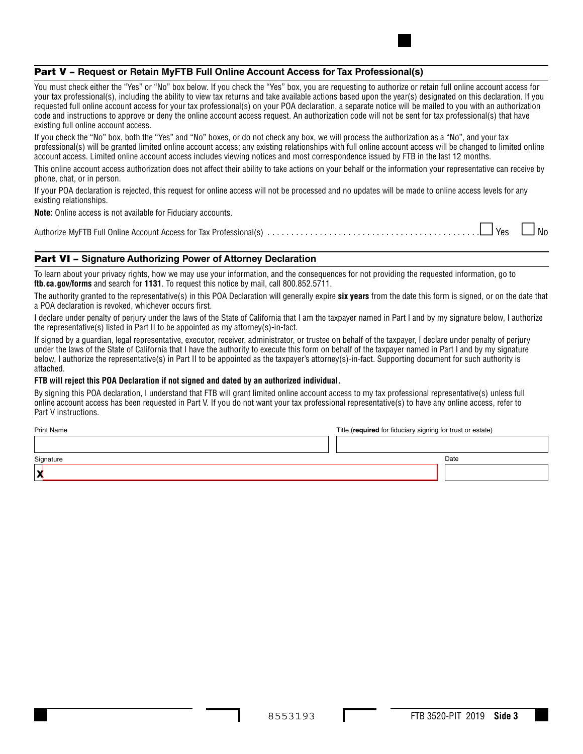# Part V – **Request or Retain MyFTB Full Online Account Access for Tax Professional(s)**

You must check either the "Yes" or "No" box below. If you check the "Yes" box, you are requesting to authorize or retain full online account access for your tax professional(s), including the ability to view tax returns and take available actions based upon the year(s) designated on this declaration. If you requested full online account access for your tax professional(s) on your POA declaration, a separate notice will be mailed to you with an authorization code and instructions to approve or deny the online account access request. An authorization code will not be sent for tax professional(s) that have existing full online account access.

If you check the "No" box, both the "Yes" and "No" boxes, or do not check any box, we will process the authorization as a "No", and your tax professional(s) will be granted limited online account access; any existing relationships with full online account access will be changed to limited online account access. Limited online account access includes viewing notices and most correspondence issued by FTB in the last 12 months.

This online account access authorization does not affect their ability to take actions on your behalf or the information your representative can receive by phone, chat, or in person.

If your POA declaration is rejected, this request for online access will not be processed and no updates will be made to online access levels for any existing relationships.

**Note:** Online access is not available for Fiduciary accounts.

Authorize MyFTB Full Online Account Access for Tax Professional(s) ............................................. Yes No

## Part VI – **Signature Authorizing Power of Attorney Declaration**

To learn about your privacy rights, how we may use your information, and the consequences for not providing the requested information, go to **ftb.ca.gov/forms** and search for **1131**. To request this notice by mail, call 800.852.5711.

The authority granted to the representative(s) in this POA Declaration will generally expire **six years** from the date this form is signed, or on the date that a POA declaration is revoked, whichever occurs first.

I declare under penalty of perjury under the laws of the State of California that I am the taxpayer named in Part I and by my signature below, I authorize the representative(s) listed in Part II to be appointed as my attorney(s)-in-fact.

If signed by a guardian, legal representative, executor, receiver, administrator, or trustee on behalf of the taxpayer, I declare under penalty of perjury under the laws of the State of California that I have the authority to execute this form on behalf of the taxpayer named in Part I and by my signature below, I authorize the representative(s) in Part II to be appointed as the taxpayer's attorney(s)-in-fact. Supporting document for such authority is attached.

#### **FTB will reject this POA Declaration if not signed and dated by an authorized individual.**

By signing this POA declaration, I understand that FTB will grant limited online account access to my tax professional representative(s) unless full online account access has been requested in Part V. If you do not want your tax professional representative(s) to have any online access, refer to Part V instructions.

Print Name **[x](https://esign.com)** Title (**required** for fiduciary signing for trust or estate) Date **Signature**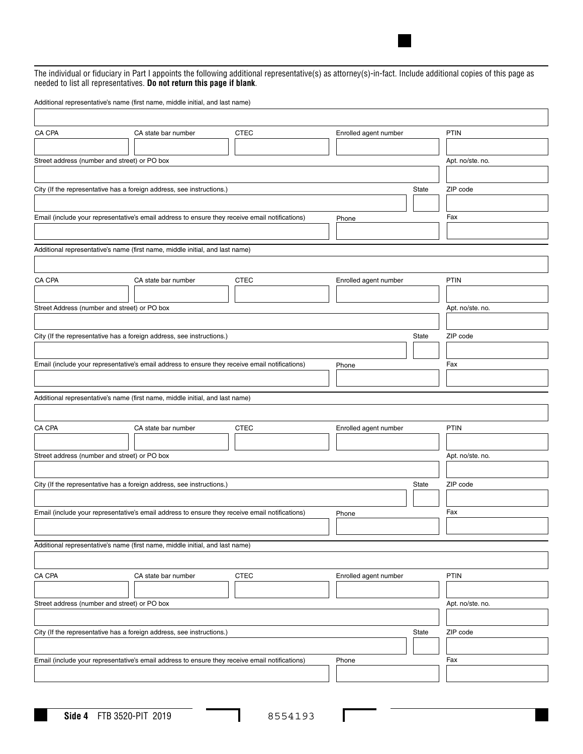The individual or fiduciary in Part I appoints the following additional representative(s) as attorney(s)-in-fact. Include additional copies of this page as needed to list all representatives. **Do not return this page if blank**.

Additional representative's name (first name, middle initial, and last name)

| CA CPA                                       | CA state bar number                                                                            | CTEC        | Enrolled agent number |       | <b>PTIN</b>      |
|----------------------------------------------|------------------------------------------------------------------------------------------------|-------------|-----------------------|-------|------------------|
|                                              |                                                                                                |             |                       |       |                  |
| Street address (number and street) or PO box |                                                                                                |             |                       |       | Apt. no/ste. no. |
|                                              |                                                                                                |             |                       |       |                  |
|                                              | City (If the representative has a foreign address, see instructions.)                          |             |                       | State | ZIP code         |
|                                              |                                                                                                |             |                       |       |                  |
|                                              | Email (include your representative's email address to ensure they receive email notifications) |             | Phone                 |       | Fax              |
|                                              |                                                                                                |             |                       |       |                  |
|                                              | Additional representative's name (first name, middle initial, and last name)                   |             |                       |       |                  |
|                                              |                                                                                                |             |                       |       |                  |
| CA CPA                                       | CA state bar number                                                                            | <b>CTEC</b> | Enrolled agent number |       | PTIN             |
|                                              |                                                                                                |             |                       |       |                  |
| Street Address (number and street) or PO box |                                                                                                |             |                       |       | Apt. no/ste. no. |
|                                              |                                                                                                |             |                       |       |                  |
|                                              | City (If the representative has a foreign address, see instructions.)                          |             |                       | State | ZIP code         |
|                                              |                                                                                                |             |                       |       |                  |
|                                              | Email (include your representative's email address to ensure they receive email notifications) |             | Phone                 |       | Fax              |
|                                              |                                                                                                |             |                       |       |                  |
|                                              | Additional representative's name (first name, middle initial, and last name)                   |             |                       |       |                  |
|                                              |                                                                                                |             |                       |       |                  |
| CA CPA                                       | CA state bar number                                                                            | <b>CTEC</b> | Enrolled agent number |       | PTIN             |
|                                              |                                                                                                |             |                       |       |                  |
| Street address (number and street) or PO box |                                                                                                |             |                       |       | Apt. no/ste. no. |
|                                              |                                                                                                |             |                       |       |                  |
|                                              | City (If the representative has a foreign address, see instructions.)                          |             |                       | State | ZIP code         |
|                                              |                                                                                                |             |                       |       |                  |
|                                              | Email (include your representative's email address to ensure they receive email notifications) |             | Phone                 |       | Fax              |
|                                              |                                                                                                |             |                       |       |                  |
|                                              |                                                                                                |             |                       |       |                  |
|                                              | Additional representative's name (first name, middle initial, and last name)                   |             |                       |       |                  |
|                                              |                                                                                                |             |                       |       |                  |
| CA CPA                                       | CA state bar number                                                                            | CTEC        | Enrolled agent number |       | PTIN             |
|                                              |                                                                                                |             |                       |       |                  |
| Street address (number and street) or PO box |                                                                                                |             |                       |       | Apt. no/ste. no. |
|                                              |                                                                                                |             |                       |       |                  |
|                                              | City (If the representative has a foreign address, see instructions.)                          |             |                       | State | ZIP code         |
|                                              |                                                                                                |             |                       |       |                  |
|                                              | Email (include your representative's email address to ensure they receive email notifications) |             | Phone                 |       | Fax              |
|                                              |                                                                                                |             |                       |       |                  |

I